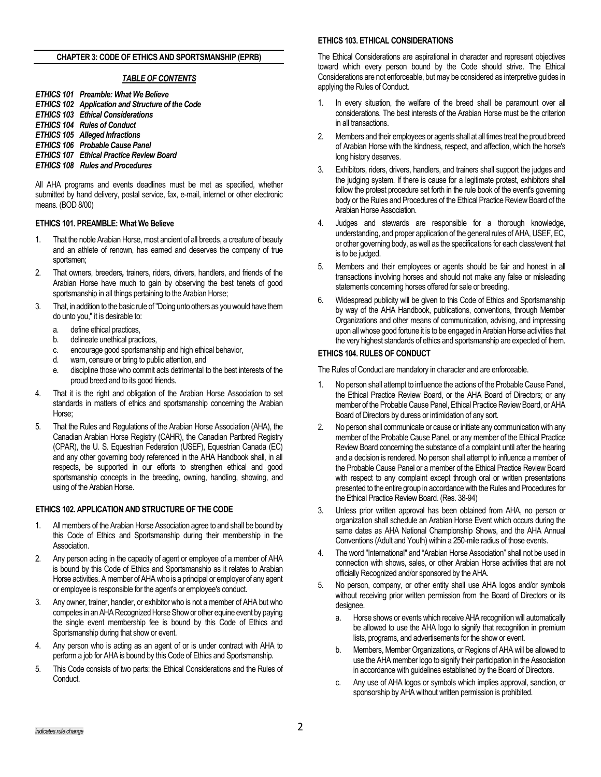#### **CHAPTER 3: CODE OF ETHICS AND SPORTSMANSHIP (EPRB)**

### *TABLE OF CONTENTS*

*ETHICS 101 Preamble: What We Believe ETHICS 102 Application and Structure of the Code ETHICS 103 Ethical Considerations ETHICS 104 Rules of Conduct ETHICS 105 Alleged Infractions ETHICS 106 Probable Cause Panel ETHICS 107 Ethical Practice Review Board ETHICS 108 Rules and Procedures*

All AHA programs and events deadlines must be met as specified, whether submitted by hand delivery, postal service, fax, e-mail, internet or other electronic means. (BOD 8/00)

### **ETHICS 101. PREAMBLE: What We Believe**

- 1. That the noble Arabian Horse, most ancient of all breeds, a creature of beauty and an athlete of renown, has earned and deserves the company of true sportsmen;
- 2. That owners, breeders*,* trainers, riders, drivers, handlers, and friends of the Arabian Horse have much to gain by observing the best tenets of good sportsmanship in all things pertaining to the Arabian Horse;
- 3. That, in addition to the basic rule of "Doing unto others as you would have them do unto you," it is desirable to:
	- a. define ethical practices,
	- b. delineate unethical practices,
	- c. encourage good sportsmanship and high ethical behavior,
	- d. warn, censure or bring to public attention, and
	- e. discipline those who commit acts detrimental to the best interests of the proud breed and to its good friends.
- 4. That it is the right and obligation of the Arabian Horse Association to set standards in matters of ethics and sportsmanship concerning the Arabian Horse;
- 5. That the Rules and Regulations of the Arabian Horse Association (AHA), the Canadian Arabian Horse Registry (CAHR), the Canadian Partbred Registry (CPAR), the U. S. Equestrian Federation (USEF), Equestrian Canada (EC) and any other governing body referenced in the AHA Handbook shall, in all respects, be supported in our efforts to strengthen ethical and good sportsmanship concepts in the breeding, owning, handling, showing, and using of the Arabian Horse.

### **ETHICS 102. APPLICATION AND STRUCTURE OF THE CODE**

- 1. All members of the Arabian Horse Association agree to and shall be bound by this Code of Ethics and Sportsmanship during their membership in the Association.
- 2. Any person acting in the capacity of agent or employee of a member of AHA is bound by this Code of Ethics and Sportsmanship as it relates to Arabian Horse activities. A member of AHA who is a principal or employer of any agent or employee is responsible for the agent's or employee's conduct.
- 3. Any owner, trainer, handler, or exhibitor who is not a member of AHA but who competes in an AHA Recognized Horse Show or other equine event by paying the single event membership fee is bound by this Code of Ethics and Sportsmanship during that show or event.
- 4. Any person who is acting as an agent of or is under contract with AHA to perform a job for AHA is bound by this Code of Ethics and Sportsmanship.
- 5. This Code consists of two parts: the Ethical Considerations and the Rules of Conduct.

# **ETHICS 103. ETHICAL CONSIDERATIONS**

The Ethical Considerations are aspirational in character and represent objectives toward which every person bound by the Code should strive. The Ethical Considerations are not enforceable, but may be considered as interpretive guides in applying the Rules of Conduct.

- 1. In every situation, the welfare of the breed shall be paramount over all considerations. The best interests of the Arabian Horse must be the criterion in all transactions.
- 2. Members and their employees or agents shall at all times treat the proud breed of Arabian Horse with the kindness, respect, and affection, which the horse's long history deserves.
- 3. Exhibitors, riders, drivers, handlers, and trainers shall support the judges and the judging system. If there is cause for a legitimate protest, exhibitors shall follow the protest procedure set forth in the rule book of the event's governing body or the Rules and Procedures of the Ethical Practice Review Board of the Arabian Horse Association.
- 4. Judges and stewards are responsible for a thorough knowledge, understanding, and proper application of the general rules of AHA, USEF, EC, or other governing body, as well as the specifications for each class/event that is to be judged.
- 5. Members and their employees or agents should be fair and honest in all transactions involving horses and should not make any false or misleading statements concerning horses offered for sale or breeding.
- 6. Widespread publicity will be given to this Code of Ethics and Sportsmanship by way of the AHA Handbook, publications, conventions, through Member Organizations and other means of communication, advising, and impressing upon all whose good fortune it is to be engaged in Arabian Horse activities that the very highest standards of ethics and sportsmanship are expected of them.

### **ETHICS 104. RULES OF CONDUCT**

The Rules of Conduct are mandatory in character and are enforceable.

- 1. No person shall attempt to influence the actions of the Probable Cause Panel, the Ethical Practice Review Board, or the AHA Board of Directors; or any member of the Probable Cause Panel, Ethical Practice Review Board, or AHA Board of Directors by duress or intimidation of any sort.
- 2. No person shall communicate or cause or initiate any communication with any member of the Probable Cause Panel, or any member of the Ethical Practice Review Board concerning the substance of a complaint until after the hearing and a decision is rendered. No person shall attempt to influence a member of the Probable Cause Panel or a member of the Ethical Practice Review Board with respect to any complaint except through oral or written presentations presented to the entire group in accordance with the Rules and Procedures for the Ethical Practice Review Board. (Res. 38-94)
- 3. Unless prior written approval has been obtained from AHA, no person or organization shall schedule an Arabian Horse Event which occurs during the same dates as AHA National Championship Shows, and the AHA Annual Conventions (Adult and Youth) within a 250-mile radius of those events.
- 4. The word "International" and "Arabian Horse Association" shall not be used in connection with shows, sales, or other Arabian Horse activities that are not officially Recognized and/or sponsored by the AHA.
- 5. No person, company, or other entity shall use AHA logos and/or symbols without receiving prior written permission from the Board of Directors or its designee.
	- a. Horse shows or events which receive AHA recognition will automatically be allowed to use the AHA logo to signify that recognition in premium lists, programs, and advertisements for the show or event.
	- b. Members, Member Organizations, or Regions of AHA will be allowed to use the AHA member logo to signify their participation in the Association in accordance with guidelines established by the Board of Directors.
	- c. Any use of AHA logos or symbols which implies approval, sanction, or sponsorship by AHA without written permission is prohibited.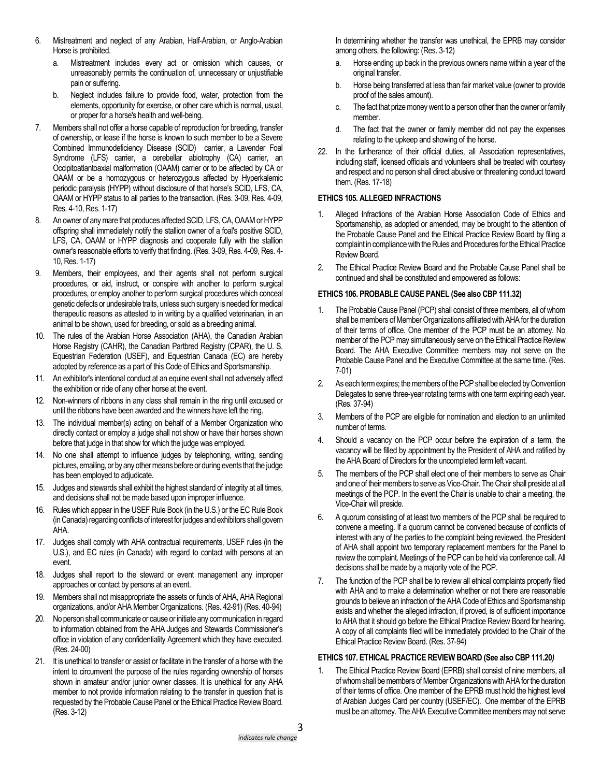- 6. Mistreatment and neglect of any Arabian, Half-Arabian, or Anglo-Arabian Horse is prohibited.
	- a. Mistreatment includes every act or omission which causes, or unreasonably permits the continuation of, unnecessary or unjustifiable pain or suffering.
	- b. Neglect includes failure to provide food, water, protection from the elements, opportunity for exercise, or other care which is normal, usual, or proper for a horse's health and well-being.
- 7. Members shall not offer a horse capable of reproduction for breeding, transfer of ownership, or lease if the horse is known to such member to be a Severe Combined Immunodeficiency Disease (SCID) carrier, a Lavender Foal Syndrome (LFS) carrier, a cerebellar abiotrophy (CA) carrier, an Occipitoatlantoaxial malformation (OAAM) carrier or to be affected by CA or OAAM or be a homozygous or heterozygous affected by Hyperkalemic periodic paralysis (HYPP) without disclosure of that horse's SCID, LFS, CA, OAAM or HYPP status to all parties to the transaction. (Res. 3-09, Res. 4-09, Res. 4-10, Res. 1-17)
- 8. An owner of any mare that produces affected SCID, LFS, CA, OAAM or HYPP offspring shall immediately notify the stallion owner of a foal's positive SCID, LFS, CA, OAAM or HYPP diagnosis and cooperate fully with the stallion owner's reasonable efforts to verify that finding. (Res. 3-09, Res. 4-09, Res. 4- 10, Res. 1-17)
- 9. Members, their employees, and their agents shall not perform surgical procedures, or aid, instruct, or conspire with another to perform surgical procedures, or employ another to perform surgical procedures which conceal genetic defects or undesirable traits, unless such surgery is needed for medical therapeutic reasons as attested to in writing by a qualified veterinarian, in an animal to be shown, used for breeding, or sold as a breeding animal.
- 10. The rules of the Arabian Horse Association (AHA), the Canadian Arabian Horse Registry (CAHR), the Canadian Partbred Registry (CPAR), the U. S. Equestrian Federation (USEF), and Equestrian Canada (EC) are hereby adopted by reference as a part of this Code of Ethics and Sportsmanship.
- 11. An exhibitor's intentional conduct at an equine event shall not adversely affect the exhibition or ride of any other horse at the event.
- 12. Non-winners of ribbons in any class shall remain in the ring until excused or until the ribbons have been awarded and the winners have left the ring.
- 13. The individual member(s) acting on behalf of a Member Organization who directly contact or employ a judge shall not show or have their horses shown before that judge in that show for which the judge was employed.
- 14. No one shall attempt to influence judges by telephoning, writing, sending pictures, emailing, or by any other means before or during events that the judge has been employed to adjudicate.
- 15. Judges and stewards shall exhibit the highest standard of integrity at all times, and decisions shall not be made based upon improper influence.
- 16. Rules which appear in the USEF Rule Book (in the U.S.) or the EC Rule Book (in Canada) regarding conflicts of interest for judges and exhibitors shall govern AHA.
- 17. Judges shall comply with AHA contractual requirements, USEF rules (in the U.S.), and EC rules (in Canada) with regard to contact with persons at an event.
- 18. Judges shall report to the steward or event management any improper approaches or contact by persons at an event.
- 19. Members shall not misappropriate the assets or funds of AHA, AHA Regional organizations, and/or AHA Member Organizations. (Res. 42-91) (Res. 40-94)
- No person shall communicate or cause or initiate any communication in regard to information obtained from the AHA Judges and Stewards Commissioner's office in violation of any confidentiality Agreement which they have executed. (Res. 24-00)
- 21. It is unethical to transfer or assist or facilitate in the transfer of a horse with the intent to circumvent the purpose of the rules regarding ownership of horses shown in amateur and/or junior owner classes. It is unethical for any AHA member to not provide information relating to the transfer in question that is requested by the Probable Cause Panel or the Ethical Practice Review Board. (Res. 3-12)

In determining whether the transfer was unethical, the EPRB may consider among others, the following: (Res. 3-12)

- a. Horse ending up back in the previous owners name within a year of the original transfer.
- b. Horse being transferred at less than fair market value (owner to provide proof of the sales amount).
- c. The fact that prize money went to a person other than the owner or family member.
- d. The fact that the owner or family member did not pay the expenses relating to the upkeep and showing of the horse.
- 22. In the furtherance of their official duties, all Association representatives, including staff, licensed officials and volunteers shall be treated with courtesy and respect and no person shall direct abusive or threatening conduct toward them. (Res. 17-18)

# **ETHICS 105. ALLEGED INFRACTIONS**

- 1. Alleged Infractions of the Arabian Horse Association Code of Ethics and Sportsmanship, as adopted or amended, may be brought to the attention of the Probable Cause Panel and the Ethical Practice Review Board by filing a complaint in compliance with the Rules and Procedures for the Ethical Practice Review Board.
- 2. The Ethical Practice Review Board and the Probable Cause Panel shall be continued and shall be constituted and empowered as follows:

# **ETHICS 106. PROBABLE CAUSE PANEL (See also CBP 111.32)**

- 1. The Probable Cause Panel (PCP) shall consist of three members, all of whom shall be members of Member Organizations affiliated with AHA for the duration of their terms of office. One member of the PCP must be an attorney. No member of the PCP may simultaneously serve on the Ethical Practice Review Board. The AHA Executive Committee members may not serve on the Probable Cause Panel and the Executive Committee at the same time. (Res. 7-01)
- 2. As each term expires; the members of the PCP shall be elected by Convention Delegates to serve three-year rotating terms with one term expiring each year. (Res. 37-94)
- 3. Members of the PCP are eligible for nomination and election to an unlimited number of terms.
- 4. Should a vacancy on the PCP occur before the expiration of a term, the vacancy will be filled by appointment by the President of AHA and ratified by the AHA Board of Directors for the uncompleted term left vacant.
- 5. The members of the PCP shall elect one of their members to serve as Chair and one of their members to serve as Vice-Chair. The Chair shall preside at all meetings of the PCP. In the event the Chair is unable to chair a meeting, the Vice-Chair will preside.
- 6. A quorum consisting of at least two members of the PCP shall be required to convene a meeting. If a quorum cannot be convened because of conflicts of interest with any of the parties to the complaint being reviewed, the President of AHA shall appoint two temporary replacement members for the Panel to review the complaint. Meetings of the PCP can be held via conference call. All decisions shall be made by a majority vote of the PCP.
- 7. The function of the PCP shall be to review all ethical complaints properly filed with AHA and to make a determination whether or not there are reasonable grounds to believe an infraction of the AHA Code of Ethics and Sportsmanship exists and whether the alleged infraction, if proved, is of sufficient importance to AHA that it should go before the Ethical Practice Review Board for hearing. A copy of all complaints filed will be immediately provided to the Chair of the Ethical Practice Review Board. (Res. 37-94)

### **ETHICS 107. ETHICAL PRACTICE REVIEW BOARD (See also CBP 111.20***)*

1. The Ethical Practice Review Board (EPRB) shall consist of nine members, all of whom shall be members of Member Organizations with AHA for the duration of their terms of office. One member of the EPRB must hold the highest level of Arabian Judges Card per country (USEF/EC). One member of the EPRB must be an attorney. The AHA Executive Committee members may not serve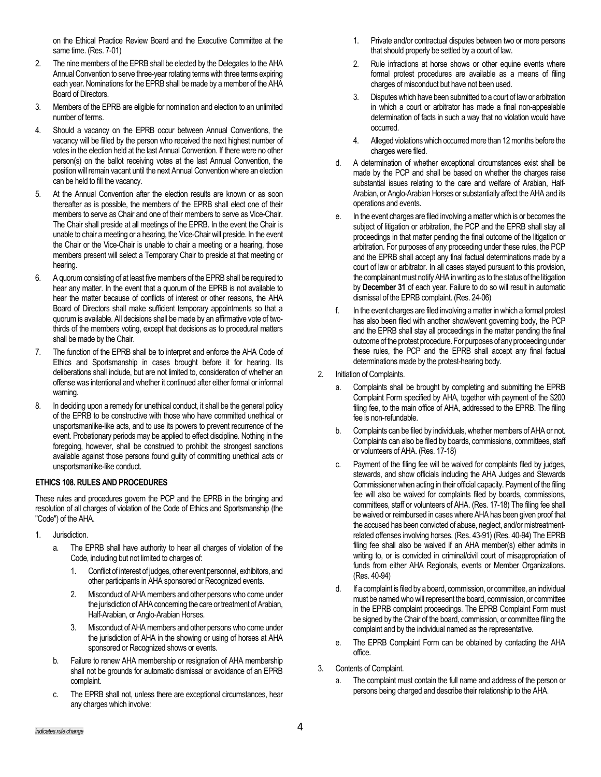on the Ethical Practice Review Board and the Executive Committee at the same time. (Res. 7-01)

- 2. The nine members of the EPRB shall be elected by the Delegates to the AHA Annual Convention to serve three-year rotating terms with three terms expiring each year. Nominations for the EPRB shall be made by a member of the AHA Board of Directors.
- 3. Members of the EPRB are eligible for nomination and election to an unlimited number of terms.
- 4. Should a vacancy on the EPRB occur between Annual Conventions, the vacancy will be filled by the person who received the next highest number of votes in the election held at the last Annual Convention. If there were no other person(s) on the ballot receiving votes at the last Annual Convention, the position will remain vacant until the next Annual Convention where an election can be held to fill the vacancy.
- 5. At the Annual Convention after the election results are known or as soon thereafter as is possible, the members of the EPRB shall elect one of their members to serve as Chair and one of their members to serve as Vice-Chair. The Chair shall preside at all meetings of the EPRB. In the event the Chair is unable to chair a meeting or a hearing, the Vice-Chair will preside. In the event the Chair or the Vice-Chair is unable to chair a meeting or a hearing, those members present will select a Temporary Chair to preside at that meeting or hearing.
- 6. A quorum consisting of at least five members of the EPRB shall be required to hear any matter. In the event that a quorum of the EPRB is not available to hear the matter because of conflicts of interest or other reasons, the AHA Board of Directors shall make sufficient temporary appointments so that a quorum is available. All decisions shall be made by an affirmative vote of twothirds of the members voting, except that decisions as to procedural matters shall be made by the Chair.
- 7. The function of the EPRB shall be to interpret and enforce the AHA Code of Ethics and Sportsmanship in cases brought before it for hearing. Its deliberations shall include, but are not limited to, consideration of whether an offense was intentional and whether it continued after either formal or informal warning.
- 8. In deciding upon a remedy for unethical conduct, it shall be the general policy of the EPRB to be constructive with those who have committed unethical or unsportsmanlike-like acts, and to use its powers to prevent recurrence of the event. Probationary periods may be applied to effect discipline. Nothing in the foregoing, however, shall be construed to prohibit the strongest sanctions available against those persons found guilty of committing unethical acts or unsportsmanlike-like conduct.

#### **ETHICS 108. RULES AND PROCEDURES**

These rules and procedures govern the PCP and the EPRB in the bringing and resolution of all charges of violation of the Code of Ethics and Sportsmanship (the "Code") of the AHA.

- 1. Jurisdiction.
	- a. The EPRB shall have authority to hear all charges of violation of the Code, including but not limited to charges of:
		- 1. Conflict of interest of judges, other event personnel, exhibitors, and other participants in AHA sponsored or Recognized events.
		- 2. Misconduct of AHA members and other persons who come under the jurisdiction of AHA concerning the care or treatment of Arabian, Half-Arabian, or Anglo-Arabian Horses.
		- 3. Misconduct of AHA members and other persons who come under the jurisdiction of AHA in the showing or using of horses at AHA sponsored or Recognized shows or events.
	- b. Failure to renew AHA membership or resignation of AHA membership shall not be grounds for automatic dismissal or avoidance of an EPRB complaint.
	- c. The EPRB shall not, unless there are exceptional circumstances, hear any charges which involve:
- 1. Private and/or contractual disputes between two or more persons that should properly be settled by a court of law.
- 2. Rule infractions at horse shows or other equine events where formal protest procedures are available as a means of filing charges of misconduct but have not been used.
- 3. Disputes which have been submitted to a court of law or arbitration in which a court or arbitrator has made a final non-appealable determination of facts in such a way that no violation would have occurred.
- 4. Alleged violations which occurred more than 12 months before the charges were filed.
- d. A determination of whether exceptional circumstances exist shall be made by the PCP and shall be based on whether the charges raise substantial issues relating to the care and welfare of Arabian, Half-Arabian, or Anglo-Arabian Horses or substantially affect the AHA and its operations and events.
- e. In the event charges are filed involving a matter which is or becomes the subject of litigation or arbitration, the PCP and the EPRB shall stay all proceedings in that matter pending the final outcome of the litigation or arbitration. For purposes of any proceeding under these rules, the PCP and the EPRB shall accept any final factual determinations made by a court of law or arbitrator. In all cases stayed pursuant to this provision, the complainant must notify AHA in writing as to the status of the litigation by **December 31** of each year. Failure to do so will result in automatic dismissal of the EPRB complaint. (Res. 24-06)
- In the event charges are filed involving a matter in which a formal protest has also been filed with another show/event governing body, the PCP and the EPRB shall stay all proceedings in the matter pending the final outcome of the protest procedure. For purposes of any proceeding under these rules, the PCP and the EPRB shall accept any final factual determinations made by the protest-hearing body.
- 2. Initiation of Complaints.
	- Complaints shall be brought by completing and submitting the EPRB Complaint Form specified by AHA, together with payment of the \$200 filing fee, to the main office of AHA, addressed to the EPRB. The filing fee is non-refundable.
	- b. Complaints can be filed by individuals, whether members of AHA or not. Complaints can also be filed by boards, commissions, committees, staff or volunteers of AHA. (Res. 17-18)
	- c. Payment of the filing fee will be waived for complaints filed by judges, stewards, and show officials including the AHA Judges and Stewards Commissioner when acting in their official capacity. Payment of the filing fee will also be waived for complaints filed by boards, commissions, committees, staff or volunteers of AHA. (Res. 17-18) The filing fee shall be waived or reimbursed in cases where AHA has been given proof that the accused has been convicted of abuse, neglect, and/or mistreatmentrelated offenses involving horses. (Res. 43-91) (Res. 40-94) The EPRB filing fee shall also be waived if an AHA member(s) either admits in writing to, or is convicted in criminal/civil court of misappropriation of funds from either AHA Regionals, events or Member Organizations. (Res. 40-94)
	- d. If a complaint is filed by a board, commission, or committee, an individual must be named who will represent the board, commission, or committee in the EPRB complaint proceedings. The EPRB Complaint Form must be signed by the Chair of the board, commission, or committee filing the complaint and by the individual named as the representative.
	- e. The EPRB Complaint Form can be obtained by contacting the AHA office.
- 3. Contents of Complaint.
	- The complaint must contain the full name and address of the person or persons being charged and describe their relationship to the AHA.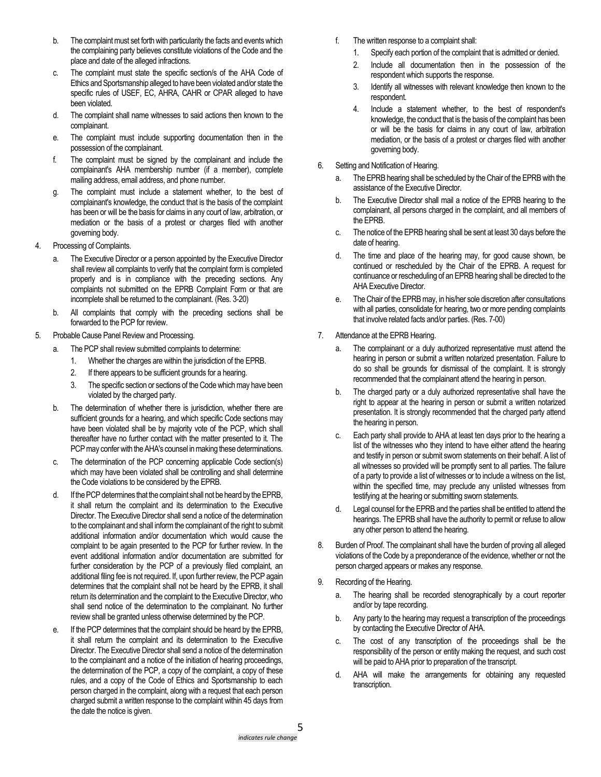- b. The complaint must set forth with particularity the facts and events which the complaining party believes constitute violations of the Code and the place and date of the alleged infractions.
- c. The complaint must state the specific section/s of the AHA Code of Ethics and Sportsmanship alleged to have been violated and/or state the specific rules of USEF, EC, AHRA, CAHR or CPAR alleged to have been violated.
- d. The complaint shall name witnesses to said actions then known to the complainant.
- e. The complaint must include supporting documentation then in the possession of the complainant.
- f. The complaint must be signed by the complainant and include the complainant's AHA membership number (if a member), complete mailing address, email address, and phone number.
- g. The complaint must include a statement whether, to the best of complainant's knowledge, the conduct that is the basis of the complaint has been or will be the basis for claims in any court of law, arbitration, or mediation or the basis of a protest or charges filed with another governing body.
- 4. Processing of Complaints.
	- a. The Executive Director or a person appointed by the Executive Director shall review all complaints to verify that the complaint form is completed properly and is in compliance with the preceding sections. Any complaints not submitted on the EPRB Complaint Form or that are incomplete shall be returned to the complainant. (Res. 3-20)
	- b. All complaints that comply with the preceding sections shall be forwarded to the PCP for review.
- 5. Probable Cause Panel Review and Processing.
	- The PCP shall review submitted complaints to determine:
		- 1. Whether the charges are within the jurisdiction of the EPRB.
		- 2. If there appears to be sufficient grounds for a hearing.
		- 3. The specific section or sections of the Code which may have been violated by the charged party.
	- b. The determination of whether there is jurisdiction, whether there are sufficient grounds for a hearing, and which specific Code sections may have been violated shall be by majority vote of the PCP, which shall thereafter have no further contact with the matter presented to it. The PCP may confer with the AHA's counsel in making these determinations.
	- c. The determination of the PCP concerning applicable Code section(s) which may have been violated shall be controlling and shall determine the Code violations to be considered by the EPRB.
	- d. If the PCP determines that the complaint shall not be heard by the EPRB, it shall return the complaint and its determination to the Executive Director. The Executive Director shall send a notice of the determination to the complainant and shall inform the complainant of the right to submit additional information and/or documentation which would cause the complaint to be again presented to the PCP for further review. In the event additional information and/or documentation are submitted for further consideration by the PCP of a previously filed complaint, an additional filing fee is not required. If, upon further review, the PCP again determines that the complaint shall not be heard by the EPRB, it shall return its determination and the complaint to the Executive Director,who shall send notice of the determination to the complainant. No further review shall be granted unless otherwise determined by the PCP.
	- e. If the PCP determines that the complaint should be heard by the EPRB, it shall return the complaint and its determination to the Executive Director. The Executive Director shall send a notice of the determination to the complainant and a notice of the initiation of hearing proceedings, the determination of the PCP, a copy of the complaint, a copy of these rules, and a copy of the Code of Ethics and Sportsmanship to each person charged in the complaint, along with a request that each person charged submit a written response to the complaint within 45 days from the date the notice is given.
- f. The written response to a complaint shall:
	- 1. Specify each portion of the complaint that is admitted or denied.
	- 2. Include all documentation then in the possession of the respondent which supports the response.
	- 3. Identify all witnesses with relevant knowledge then known to the respondent.
	- 4. Include a statement whether, to the best of respondent's knowledge, the conduct that is the basis of the complaint has been or will be the basis for claims in any court of law, arbitration mediation, or the basis of a protest or charges filed with another governing body.
- 6. Setting and Notification of Hearing.
	- a. The EPRB hearing shall be scheduled by the Chair of the EPRB with the assistance of the Executive Director.
	- b. The Executive Director shall mail a notice of the EPRB hearing to the complainant, all persons charged in the complaint, and all members of the EPRB.
	- c. The notice of the EPRB hearing shall be sent at least 30 days before the date of hearing.
	- d. The time and place of the hearing may, for good cause shown, be continued or rescheduled by the Chair of the EPRB. A request for continuance or rescheduling of an EPRB hearing shall be directed to the AHA Executive Director.
	- e. The Chair of the EPRB may, in his/her sole discretion after consultations with all parties, consolidate for hearing, two or more pending complaints that involve related facts and/or parties. (Res. 7-00)
- 7. Attendance at the EPRB Hearing.
	- a. The complainant or a duly authorized representative must attend the hearing in person or submit a written notarized presentation. Failure to do so shall be grounds for dismissal of the complaint. It is strongly recommended that the complainant attend the hearing in person.
	- b. The charged party or a duly authorized representative shall have the right to appear at the hearing in person or submit a written notarized presentation. It is strongly recommended that the charged party attend the hearing in person.
	- c. Each party shall provide to AHA at least ten days prior to the hearing a list of the witnesses who they intend to have either attend the hearing and testify in person or submit sworn statements on their behalf. A list of all witnesses so provided will be promptly sent to all parties. The failure of a party to provide a list of witnesses or to include a witness on the list, within the specified time, may preclude any unlisted witnesses from testifying at the hearing or submitting sworn statements.
	- d. Legal counsel for the EPRB and the parties shall be entitled to attend the hearings. The EPRB shall have the authority to permit or refuse to allow any other person to attend the hearing.
- 8. Burden of Proof. The complainant shall have the burden of proving all alleged violations of the Code by a preponderance of the evidence, whether or not the person charged appears or makes any response.
- 9. Recording of the Hearing.
	- a. The hearing shall be recorded stenographically by a court reporter and/or by tape recording.
	- b. Any party to the hearing may request a transcription of the proceedings by contacting the Executive Director of AHA.
	- c. The cost of any transcription of the proceedings shall be the responsibility of the person or entity making the request, and such cost will be paid to AHA prior to preparation of the transcript.
	- d. AHA will make the arrangements for obtaining any requested transcription.